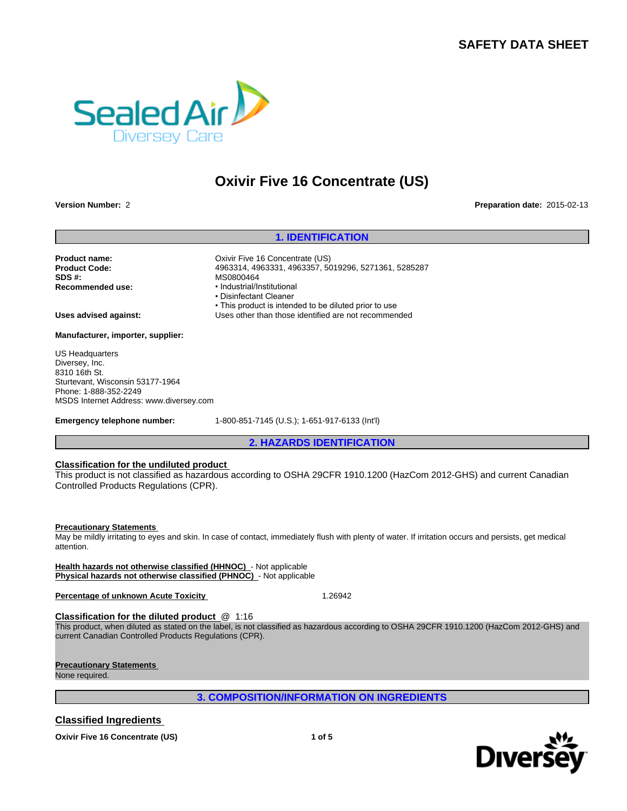# **SAFETY DATA SHEET**



# **Oxivir Five 16 Concentrate (US) 16 Concentrate (US)**<br>Preparat<br>1. IDENTIFICATION<br>PINCENTIES (US)<br>31, 4963357, 5019296, 5271361, 5285287

**Version Number:** 2 **Preparation date:** 2015-02-13

**Product name:** CXivir Five 16 Concentrate (US) **Product Code:** 4963314, 4963331, 4963357, 5019296, 5271361, 5285287 **SDS #:**<br> **Recommended use:**<br> **Recommended use:**<br> **example:**<br> **example:** 

**Recommended use:** • Industrial/Institutional • Disinfectant Cleaner • This product is intended to be diluted prior to use

**Uses advised against:** Uses other than those identified are not recommended

**Manufacturer, importer, supplier:**

US Headquarters Diversey, Inc. 8310 16th St. Sturtevant, Wisconsin 53177-1964 Phone: 1-888-352-2249 MSDS Internet Address: www.diversey.com

**Emergency telephone number:** 1-800-851-7145 (U.S.); 1-651-917-6133 (Int'l)

# **Classification for the undiluted product**

al/Institutional<br>**2. Allinstitutional**<br>duct is intended to be diluted prior to use<br>or than those identified are not recommended<br>1-7145 (U.S.); 1-651-917-6133 (Int'l)<br>2. HAZARDS IDENTIFICATION<br>ording to OSHA 29CFR 1910.1200 This product is not classified as hazardous according to OSHA 29CFR 1910.1200 (HazCom 2012-GHS) and current Canadian Controlled Products Regulations (CPR).

# **Precautionary Statements**

May be mildly irritating to eyes and skin. In case of contact, immediately flush with plenty of water. If irritation occurs and persists, get medical attention.

**Health hazards not otherwise classified (HHNOC)** - Not applicable **Physical hazards not otherwise classified (PHNOC)** - Not applicable

**Percentage of unknown Acute Toxicity | New York 1.26942** 

**Classification for the diluted product** @ 1:16

9. In case of contact, immediately flush with plenty of water. If irritation occurs and persists, get medical<br>
1.26942<br>
1.26942<br>
1.26942<br>
2. COMPOSITION/INFORMATION ON INGREDIENTS<br>
3. COMPOSITION/INFORMATION ON INGREDIENT This product, when diluted as stated on the label, is not classified as hazardous according to OSHA 29CFR 1910.1200 (HazCom 2012-GHS) and current Canadian Controlled Products Regulations (CPR).

# **Precautionary Statements**

None required.

# **Classified Ingredients**



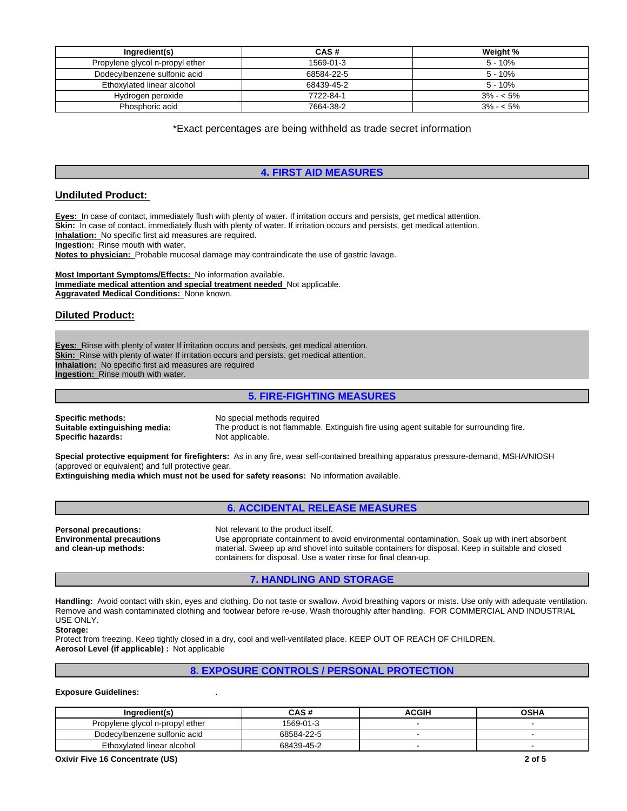| Ingredient(s)                   | CAS#       | Weight %    |
|---------------------------------|------------|-------------|
| Propylene glycol n-propyl ether | 1569-01-3  | $5 - 10%$   |
| Dodecylbenzene sulfonic acid    | 68584-22-5 | $5 - 10%$   |
| Ethoxylated linear alcohol      | 68439-45-2 | $5 - 10%$   |
| Hydrogen peroxide               | 7722-84-1  | $3\% - 5\%$ |
| Phosphoric acid                 | 7664-38-2  | $3\% - 5\%$ |

\*Exact percentages are being withheld as trade secret information

# **4. FIRST AID MEASURES**

# **Undiluted Product:**

**Eyes:** In case of contact, immediately flush with plenty of water. If irritation occurs and persists, get medical attention. Skin: In case of contact, immediately flush with plenty of water. If irritation occurs and persists, get medical attention. **Inhalation:** No specific first aid measures are required. **Ingestion:** Rinse mouth with water.

**Notes to physician:** Probable mucosal damage may contraindicate the use of gastric lavage.

**Most Important Symptoms/Effects:** No information available. **Immediate medical attention and special treatment needed** Not applicable. **Aggravated Medical Conditions:** None known.

# **Diluted Product:**

**Eyes:** Rinse with plenty of water If irritation occurs and persists, get medical attention. **Skin:** Rinse with plenty of water If irritation occurs and persists, get medical attention. **Inhalation:** No specific first aid measures are required **Ingestion:** Rinse mouth with water.

# **5. FIRE-FIGHTING MEASURES**

**Specific methods:** No special methods required<br> **Suitable extinguishing media:** The product is not flammable **Specific hazards:** 

The product is not flammable. Extinguish fire using agent suitable for surrounding fire.<br>Not applicable.

**Special protective equipment for firefighters:** As in any fire, wear self-contained breathing apparatus pressure-demand, MSHA/NIOSH (approved or equivalent) and full protective gear. **Extinguishing media which must not be used for safety reasons:** No information available.

# **6. ACCIDENTAL RELEASE MEASURES**

**Personal precautions:** Not relevant to the product itself. **Environmental precautions and clean-up methods:**

Use appropriate containment to avoid environmental contamination. Soak up with inert absorbent material. Sweep up and shovel into suitable containers for disposal. Keep in suitable and closed containers for disposal. Use a water rinse for final clean-up.

# **7. HANDLING AND STORAGE**

**Handling:** Avoid contact with skin, eyes and clothing. Do not taste or swallow. Avoid breathing vapors or mists. Use only with adequate ventilation. Remove and wash contaminated clothing and footwear before re-use. Wash thoroughly after handling. FOR COMMERCIAL AND INDUSTRIAL USE ONLY.

# **Storage:**

Protect from freezing. Keep tightly closed in a dry, cool and well-ventilated place. KEEP OUT OF REACH OF CHILDREN. **Aerosol Level (if applicable) :** Not applicable

# **8. EXPOSURE CONTROLS / PERSONAL PROTECTION**

# **Exposure Guidelines:** .

| Ingredient(s)                   | CAS #      | <b>ACGIH</b> | <b>OSHA</b> |
|---------------------------------|------------|--------------|-------------|
| Propylene givcol n-propyl ether | 1569-01-3  |              |             |
| Dodecylbenzene sulfonic acid    | 68584-22-5 |              |             |
| Ethoxylated linear alcohol      | 68439-45-2 |              |             |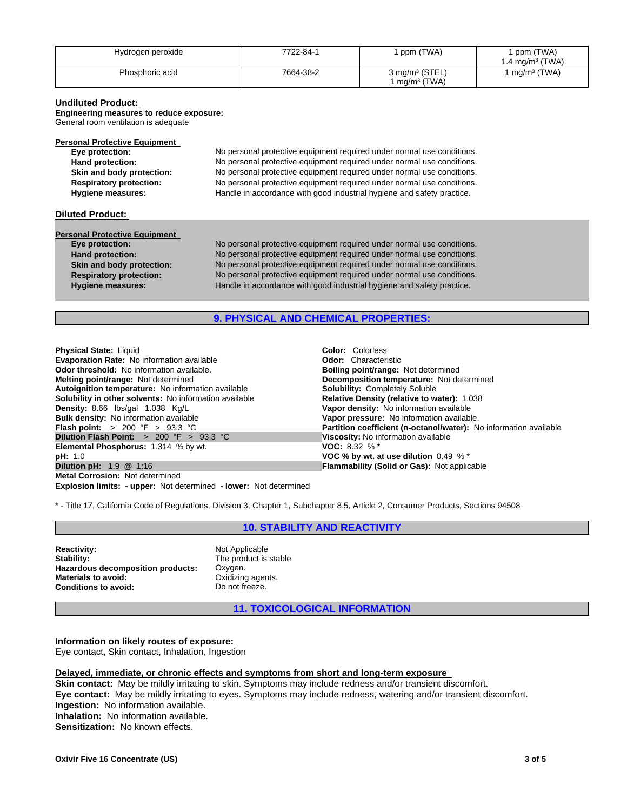| Hydrogen peroxide | 7722-84-1 | ppm (TWA)                                   | ppm (TWA)<br>$1.4 \text{ mg/m}^3$ (TWA) |
|-------------------|-----------|---------------------------------------------|-----------------------------------------|
| Phosphoric acid   | 7664-38-2 | 3 mg/m <sup>3</sup> (STEL,<br>$mg/m3$ (TWA) | $mq/m^3$ (TWA)                          |

# **Undiluted Product:**

**Engineering measures to reduce exposure:**

General room ventilation is adequate

| Eye protection:                | No personal protective equipment required under normal use conditions. |
|--------------------------------|------------------------------------------------------------------------|
| Hand protection:               | No personal protective equipment required under normal use conditions. |
| Skin and body protection:      | No personal protective equipment required under normal use conditions. |
| <b>Respiratory protection:</b> | No personal protective equipment required under normal use conditions. |
| <b>Hygiene measures:</b>       | Handle in accordance with good industrial hygiene and safety practice. |

# **Diluted Product:**

# **Personal Protective Equipment**<br>Eye protection:

No personal protective equipment required under normal use conditions. **Hand protection:** No personal protective equipment required under normal use conditions. **Skin and body protection:** No personal protective equipment required under normal use conditions. **Respiratory protection:** No personal protective equipment required under normal use conditions. **Hygiene measures:** Handle in accordance with good industrial hygiene and safety practice.

# **9. PHYSICAL AND CHEMICAL PROPERTIES:**

**Explosion limits: - upper:** Not determined **- lower:** Not determined **Physical State:** Liquid **Color:** *Color: Colorless*<br> **Evaporation Rate:** No information available **Color: Changing Color:** Characteristic **Evaporation Rate: No information available Odor threshold:** No information available. **Boiling point/range: Not determined Melting point/range: Not determined Melting point/range: Not determined Melting point/range: Not determined Autoignition temperature:** No information available **Solubility: Completely Soluble Solubility in other solvents:** No information available **Solubility: Completely Soluble Solubility in other solvents:** No information **Solubility in other solvents: No information available Density:** 8.66 lbs/gal 1.038 Kg/L **Vapor density:** No information available **Bulk density:** No information available **Bulk density:** No information available **Plash point:**  $> 200 \text{ }^{\circ}\text{F} > 93.3 \text{ }^{\circ}\text{C}$ <br> **Dilution Flash Point:**  $> 200 \text{ }^{\circ}\text{F} > 93.3 \text{ }^{\circ}\text{C}$ <br> **Dilution Flash Point:**  $> 200 \text{ }^{\circ}\text{F} > 93.3 \text{ }^{\circ}\text{C}$ <br> **Discosity:** No information available<br> **El Elemental Phosphorus: 1.314 % by wt. pH:** 1.0<br>**Dilution pH:** 1.9 @ 1:16 **Dilution <b>PH:** 1.9 @ 1:16 **Flammability (Solid or Gas):** Not applic **Metal Corrosion:** Not determined

**Decomposition temperature:** Not determined **Vapor pressure:** No information available. **Partition coefficient (n-octanol/water):** No information available **Flammability (Solid or Gas): Not applicable** 

\* - Title 17, California Code of Regulations, Division 3, Chapter 1, Subchapter 8.5, Article 2, Consumer Products, Sections 94508

# **10. STABILITY AND REACTIVITY**

**Reactivity:** Not Applicable Stability: Not Applicable Stability: **Hazardous decomposition products: Materials to avoid:** Oxidizing agents.<br> **Conditions to avoid:** Do not freeze. **Conditions to avoid:** 

The product is stable<br>Oxygen.

**11. TOXICOLOGICAL INFORMATION**

**Information on likely routes of exposure:**  Eye contact, Skin contact, Inhalation, Ingestion

# **Delayed, immediate, or chronic effects and symptoms from short and long-term exposure**

**Skin contact:** May be mildly irritating to skin. Symptoms may include redness and/or transient discomfort. **Eye contact:** May be mildly irritating to eyes. Symptoms may include redness, watering and/or transient discomfort. **Ingestion:** No information available. **Inhalation:** No information available. **Sensitization:** No known effects.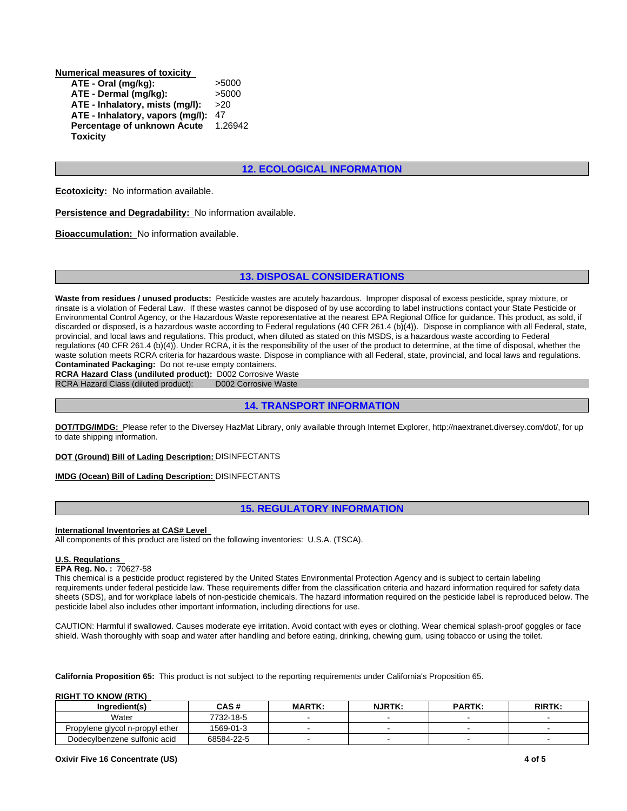**Numerical measures of toxicity ATE - Oral (mg/kg):** >5000 **ATE - Dermal (mg/kg):** >5000<br>**ATE - Inhalatorv. mists (mg/l):** >20 **ATE - Inhalatory, mists (mg/l):** >20 **ATE - Inhalatory, vapors (mg/l):** 47 **Percentage of unknown Acute Toxicity** 1.26942

# **12. ECOLOGICAL INFORMATION**

**Ecotoxicity:** No information available.

**Persistence and Degradability:** No information available.

**Bioaccumulation:** No information available.

**12. ECOLOGICAL INFORMATION<br>
13. DISPOSAL CONSIDERATIONS<br>
13. DISPOSAL CONSIDERATIONS<br>
de wastes are acutely hazardous. Improper disposal of excess pesticide, spray m<br>
sc anono be disposed of by use according to label inst Waste from residues / unused products:** Pesticide wastes are acutely hazardous. Improper disposal of excess pesticide, spray mixture, or rinsate is a violation of Federal Law. If these wastes cannot be disposed of by use according to label instructions contact your State Pesticide or Environmental Control Agency, or the Hazardous Waste reporesentative at the nearest EPA Regional Office for guidance. This product, as sold, if discarded or disposed, is a hazardous waste according to Federal regulations (40 CFR 261.4 (b)(4)). Dispose in compliance with all Federal, state, provincial, and local laws and regulations. This product, when diluted as stated on this MSDS, is a hazardous waste according to Federal regulations (40 CFR 261.4 (b)(4)). Under RCRA, it is the responsibility of the user of the product to determine, at the time of disposal, whether the waste solution meets RCRA criteria for hazardous waste. Dispose in compliance with all Federal, state, provincial, and local laws and regulations. **Contaminated Packaging:** Do not re-use empty containers. **3. DISPOSAL CONSIDERATIONS**<br> **e** wastes are acutely hazardous. Improper disposal of excess pesticide, spray mis cannot be disposed of by use according to label instructions contact your State Points reporesentative at the **15. REGULATORY INFORMATION**<br> **15. REFENDIMINY OF THE USED CONDUCTS OF CONDUCTS**<br> **14. TRANSPORT INFORMATION**<br>
Mat Library, only available through Internet Explorer, http://naextranet.diversey.com/<br> **15. REGULATORY INFORMA** 

**RCRA Hazard Class (undiluted product):** D002 Corrosive Waste RCRA Hazard Class (diluted product): D002 Corrosive Waste RCRA Hazard Class (diluted product):

**DOT/TDG/IMDG:** Please refer to the Diversey HazMat Library, only available through Internet Explorer, http://naextranet.diversey.com/dot/, for up to date shipping information.

**DOT (Ground) Bill of Lading Description:** DISINFECTANTS

# **IMDG (Ocean) Bill of Lading Description:** DISINFECTANTS

# **International Inventories at CAS# Level**

All components of this product are listed on the following inventories: U.S.A. (TSCA).

# **U.S. Regulations**

**EPA Reg. No. :** 70627-58

This chemical is a pesticide product registered by the United States Environmental Protection Agency and is subject to certain labeling requirements under federal pesticide law. These requirements differ from the classification criteria and hazard information required for safety data sheets (SDS), and for workplace labels of non-pesticide chemicals. The hazard information required on the pesticide label is reproduced below. The pesticide label also includes other important information, including directions for use.

CAUTION: Harmful if swallowed. Causes moderate eye irritation. Avoid contact with eyes or clothing. Wear chemical splash-proof goggles or face shield. Wash thoroughly with soap and water after handling and before eating, drinking, chewing gum, using tobacco or using the toilet.

**California Proposition 65:** This product is not subject to the reporting requirements under California's Proposition 65.

# **RIGHT TO KNOW (RTK)**

| Ingredient(s)                   | CAS #      | <b>MARTK:</b> | <b>NJRTK:</b> | <b>PARTK:</b> | RIRTK: |
|---------------------------------|------------|---------------|---------------|---------------|--------|
| Water                           | 7732-18-5  |               |               |               |        |
| Propylene glycol n-propyl ether | 1569-01-3  |               |               |               |        |
| Dodecylbenzene sulfonic acid    | 68584-22-5 |               |               |               |        |

# **Oxivir Five 16 Concentrate (US) 4 of 5**